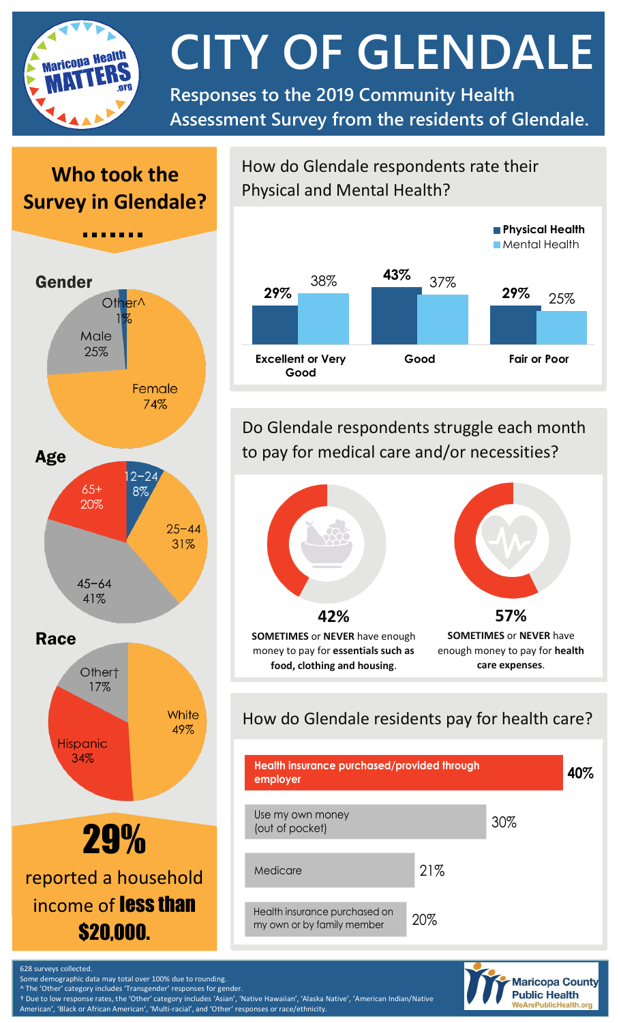

# **CITY OF GLENDALE**

**Responses to the 2019 Community Health Assessment Survey from the residents of Glendale.**

# **Who took the Survey in Glendale?**



How do Glendale respondents rate their Physical and Mental Health?



Do Glendale respondents struggle each month to pay for medical care and/or necessities?



### How do Glendale residents pay for health care?





Some demographic data may total over 100% due to rounding.

The 'Other' category includes 'Transgender' responses for gender.

† Due to low response rates, the 'Other' category includes 'Asian', 'Native Hawaiian', 'Alaska Native', 'American Indian/Native American', 'Black or African American', 'Multi-racial', and 'Other' responses or race/ethnicity.